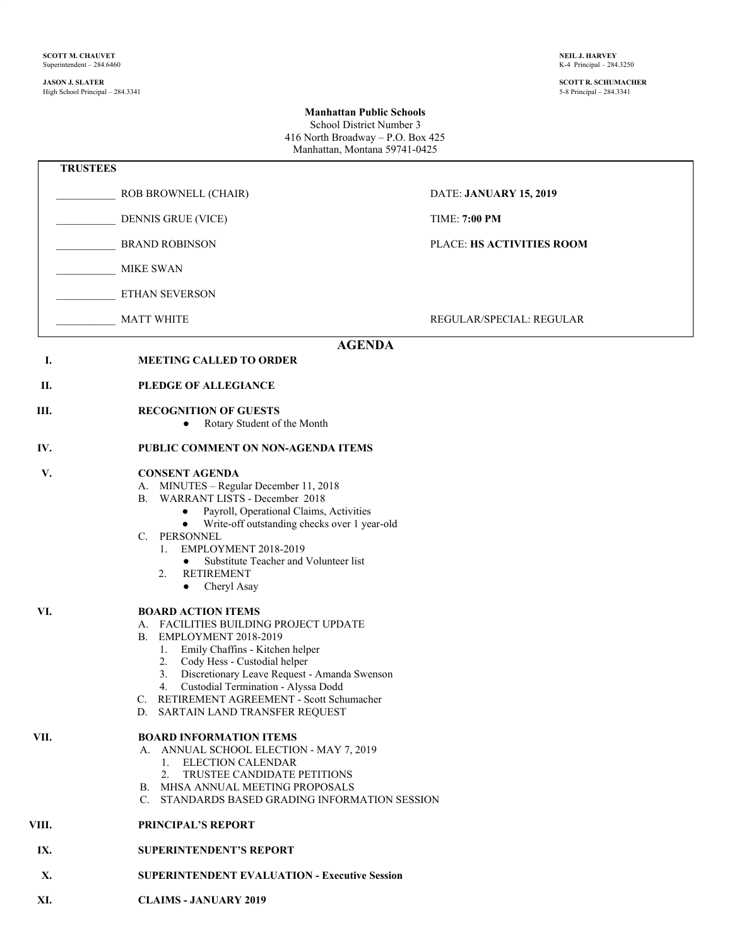## **JASON J. SLATER SCOTT R. SCHUMACHER** High School Principal – 284.3341 5-8 Principal – 284.3341

## **Manhattan Public Schools** School District Number 3 416 North Broadway – P.O. Box 425

Manhattan, Montana 59741-0425

|       | <b>TRUSTEES</b>                                                                                                                                                                                                                                                                                                                                                                           |                                 |
|-------|-------------------------------------------------------------------------------------------------------------------------------------------------------------------------------------------------------------------------------------------------------------------------------------------------------------------------------------------------------------------------------------------|---------------------------------|
|       | ROB BROWNELL (CHAIR)                                                                                                                                                                                                                                                                                                                                                                      | DATE: JANUARY 15, 2019          |
|       | <b>DENNIS GRUE (VICE)</b>                                                                                                                                                                                                                                                                                                                                                                 | <b>TIME: 7:00 PM</b>            |
|       | <b>BRAND ROBINSON</b>                                                                                                                                                                                                                                                                                                                                                                     | PLACE: HS ACTIVITIES ROOM       |
|       | <b>MIKE SWAN</b>                                                                                                                                                                                                                                                                                                                                                                          |                                 |
|       | ETHAN SEVERSON                                                                                                                                                                                                                                                                                                                                                                            |                                 |
|       | <b>MATT WHITE</b>                                                                                                                                                                                                                                                                                                                                                                         | <b>REGULAR/SPECIAL: REGULAR</b> |
|       | <b>AGENDA</b>                                                                                                                                                                                                                                                                                                                                                                             |                                 |
| Ι.    | <b>MEETING CALLED TO ORDER</b>                                                                                                                                                                                                                                                                                                                                                            |                                 |
| П.    | PLEDGE OF ALLEGIANCE                                                                                                                                                                                                                                                                                                                                                                      |                                 |
| Ш.    | <b>RECOGNITION OF GUESTS</b><br>Rotary Student of the Month<br>$\bullet$                                                                                                                                                                                                                                                                                                                  |                                 |
| IV.   | PUBLIC COMMENT ON NON-AGENDA ITEMS                                                                                                                                                                                                                                                                                                                                                        |                                 |
| V.    | <b>CONSENT AGENDA</b><br>MINUTES - Regular December 11, 2018<br>А.<br>WARRANT LISTS - December 2018<br>В.<br>Payroll, Operational Claims, Activities<br>$\bullet$<br>Write-off outstanding checks over 1 year-old<br>$\bullet$<br>C. PERSONNEL<br>EMPLOYMENT 2018-2019<br>1.<br>Substitute Teacher and Volunteer list<br>$\bullet$<br><b>RETIREMENT</b><br>2.<br>Cheryl Asay<br>$\bullet$ |                                 |
| VI.   | <b>BOARD ACTION ITEMS</b><br>A. FACILITIES BUILDING PROJECT UPDATE<br>EMPLOYMENT 2018-2019<br>В.<br>Emily Chaffins - Kitchen helper<br>1.<br>2. Cody Hess - Custodial helper<br>Discretionary Leave Request - Amanda Swenson<br>3.<br>4. Custodial Termination - Alyssa Dodd<br>RETIREMENT AGREEMENT - Scott Schumacher<br>D. SARTAIN LAND TRANSFER REQUEST                               |                                 |
| VII.  | <b>BOARD INFORMATION ITEMS</b><br>A. ANNUAL SCHOOL ELECTION - MAY 7, 2019<br>1. ELECTION CALENDAR<br>2. TRUSTEE CANDIDATE PETITIONS<br>B. MHSA ANNUAL MEETING PROPOSALS<br>C. STANDARDS BASED GRADING INFORMATION SESSION                                                                                                                                                                 |                                 |
| VIII. | PRINCIPAL'S REPORT                                                                                                                                                                                                                                                                                                                                                                        |                                 |
| IX.   | <b>SUPERINTENDENT'S REPORT</b>                                                                                                                                                                                                                                                                                                                                                            |                                 |
| X.    | <b>SUPERINTENDENT EVALUATION - Executive Session</b>                                                                                                                                                                                                                                                                                                                                      |                                 |
| XI.   | <b>CLAIMS - JANUARY 2019</b>                                                                                                                                                                                                                                                                                                                                                              |                                 |